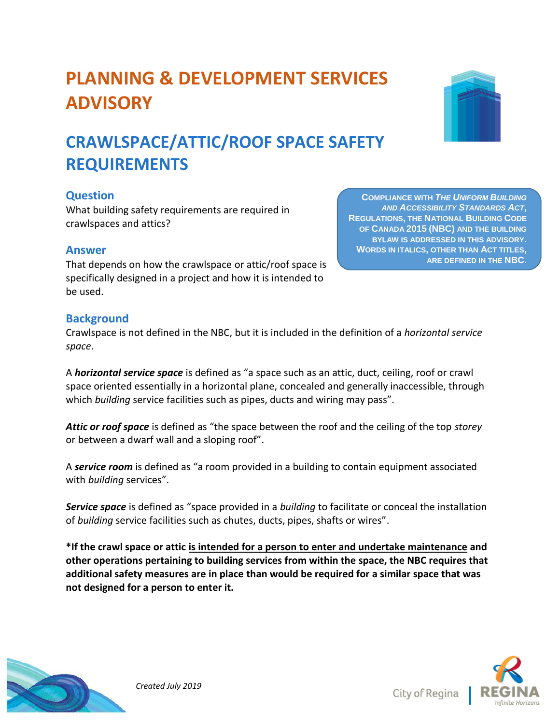

# **PLANNING & DEVELOPMENT SERVICES ADVISORY**

# **CRAWLSPACE/ATTIC/ROOF SPACE SAFETY REQUIREMENTS**

# **Question**

What building safety requirements are required in crawlspaces and attics?

#### **Answer**

That depends on how the crawlspace or attic/roof space is specifically designed in a project and how it is intended to be used.

## **Background**

Crawlspace is not defined in the NBC, but it is included in the definition of a *horizontal service space*.

A *horizontal service space* is defined as "a space such as an attic, duct, ceiling, roof or crawl space oriented essentially in a horizontal plane, concealed and generally inaccessible, through which *building* service facilities such as pipes, ducts and wiring may pass".

*Attic or roof space* is defined as "the space between the roof and the ceiling of the top *storey*  or between a dwarf wall and a sloping roof".

A *service room* is defined as "a room provided in a building to contain equipment associated with *building* services".

*Service space* is defined as "space provided in a *building* to facilitate or conceal the installation of *building* service facilities such as chutes, ducts, pipes, shafts or wires".

**\*If the crawl space or attic is intended for a person to enter and undertake maintenance and other operations pertaining to building services from within the space, the NBC requires that additional safety measures are in place than would be required for a similar space that was not designed for a person to enter it.**



City of Regina



**COMPLIANCE WITH** *THE UNIFORM BUILDING AND ACCESSIBILITY STANDARDS ACT***, REGULATIONS, THE NATIONAL BUILDING CODE OF CANADA 2015 (NBC) AND THE BUILDING BYLAW IS ADDRESSED IN THIS ADVISORY. WORDS IN ITALICS, OTHER THAN ACT TITLES, ARE DEFINED IN THE NBC.**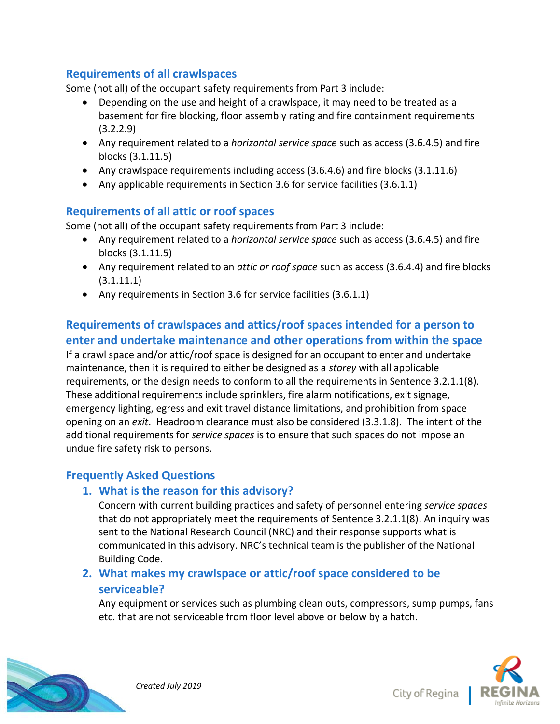### **Requirements of all crawlspaces**

Some (not all) of the occupant safety requirements from Part 3 include:

- Depending on the use and height of a crawlspace, it may need to be treated as a basement for fire blocking, floor assembly rating and fire containment requirements (3.2.2.9)
- Any requirement related to a *horizontal service space* such as access (3.6.4.5) and fire blocks (3.1.11.5)
- Any crawlspace requirements including access (3.6.4.6) and fire blocks (3.1.11.6)
- Any applicable requirements in Section 3.6 for service facilities (3.6.1.1)

### **Requirements of all attic or roof spaces**

Some (not all) of the occupant safety requirements from Part 3 include:

- Any requirement related to a *horizontal service space* such as access (3.6.4.5) and fire blocks (3.1.11.5)
- Any requirement related to an *attic or roof space* such as access (3.6.4.4) and fire blocks  $(3.1.11.1)$
- Any requirements in Section 3.6 for service facilities (3.6.1.1)

# **Requirements of crawlspaces and attics/roof spaces intended for a person to enter and undertake maintenance and other operations from within the space**

If a crawl space and/or attic/roof space is designed for an occupant to enter and undertake maintenance, then it is required to either be designed as a *storey* with all applicable requirements, or the design needs to conform to all the requirements in Sentence 3.2.1.1(8). These additional requirements include sprinklers, fire alarm notifications, exit signage, emergency lighting, egress and exit travel distance limitations, and prohibition from space opening on an *exit*. Headroom clearance must also be considered (3.3.1.8). The intent of the additional requirements for *service spaces* is to ensure that such spaces do not impose an undue fire safety risk to persons.

### **Frequently Asked Questions**

### **1. What is the reason for this advisory?**

Concern with current building practices and safety of personnel entering *service spaces* that do not appropriately meet the requirements of Sentence 3.2.1.1(8). An inquiry was sent to the National Research Council (NRC) and their response supports what is communicated in this advisory. NRC's technical team is the publisher of the National Building Code.

## **2. What makes my crawlspace or attic/roof space considered to be serviceable?**

Any equipment or services such as plumbing clean outs, compressors, sump pumps, fans etc. that are not serviceable from floor level above or below by a hatch.